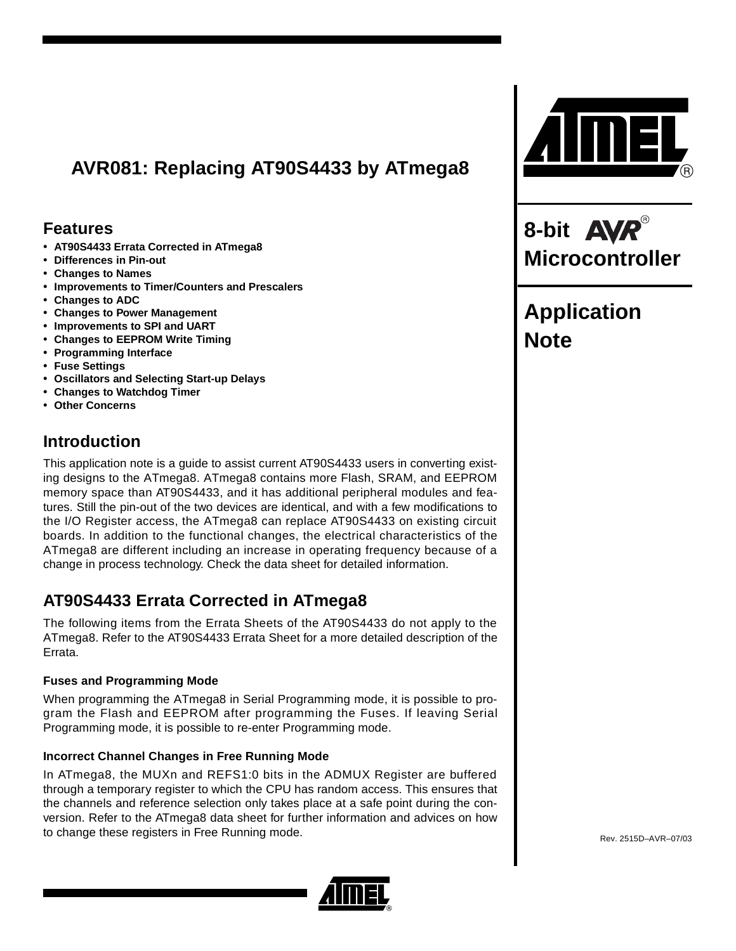# **AVR081: Replacing AT90S4433 by ATmega8**

## **Features**

- **AT90S4433 Errata Corrected in ATmega8**
- **Differences in Pin-out**
- **Changes to Names**
- **Improvements to Timer/Counters and Prescalers**
- **Changes to ADC**
- **Changes to Power Management**
- **Improvements to SPI and UART**
- **Changes to EEPROM Write Timing**
- **Programming Interface**
- **Fuse Settings**
- **Oscillators and Selecting Start-up Delays**
- **Changes to Watchdog Timer**
- **Other Concerns**

# **Introduction**

This application note is a guide to assist current AT90S4433 users in converting existing designs to the ATmega8. ATmega8 contains more Flash, SRAM, and EEPROM memory space than AT90S4433, and it has additional peripheral modules and features. Still the pin-out of the two devices are identical, and with a few modifications to the I/O Register access, the ATmega8 can replace AT90S4433 on existing circuit boards. In addition to the functional changes, the electrical characteristics of the ATmega8 are different including an increase in operating frequency because of a change in process technology. Check the data sheet for detailed information.

# **AT90S4433 Errata Corrected in ATmega8**

The following items from the Errata Sheets of the AT90S4433 do not apply to the ATmega8. Refer to the AT90S4433 Errata Sheet for a more detailed description of the Errata.

### **Fuses and Programming Mode**

When programming the ATmega8 in Serial Programming mode, it is possible to program the Flash and EEPROM after programming the Fuses. If leaving Serial Programming mode, it is possible to re-enter Programming mode.

### **Incorrect Channel Changes in Free Running Mode**

In ATmega8, the MUXn and REFS1:0 bits in the ADMUX Register are buffered through a temporary register to which the CPU has random access. This ensures that the channels and reference selection only takes place at a safe point during the conversion. Refer to the ATmega8 data sheet for further information and advices on how to change these registers in Free Running mode.





**8-bit Microcontroller**

# **Application Note**

Rev. 2515D–AVR–07/03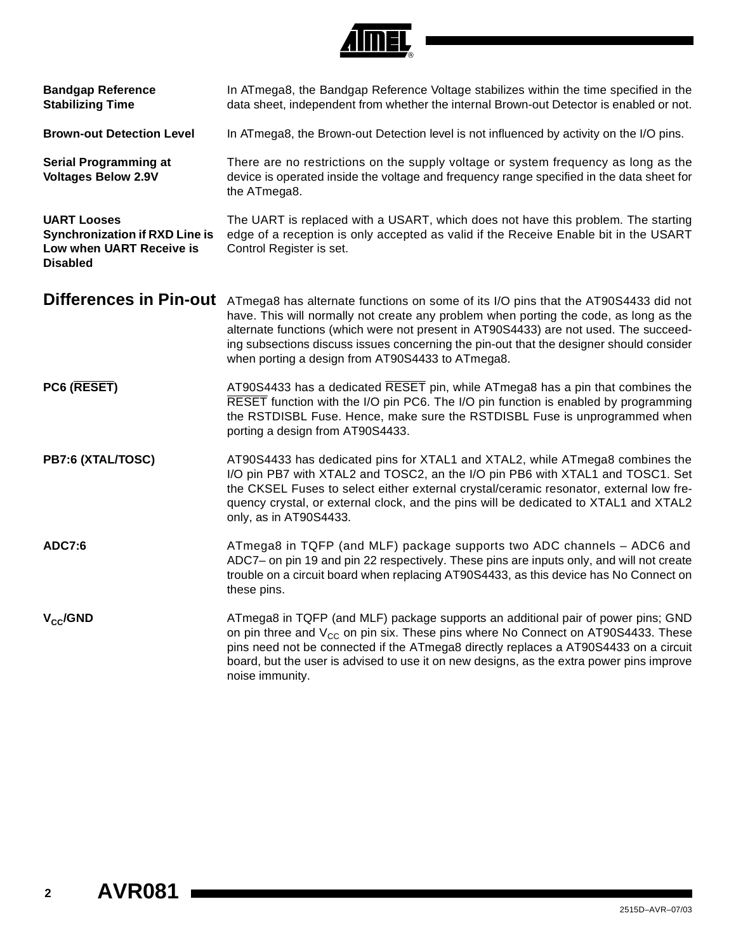

| <b>Bandgap Reference</b><br><b>Stabilizing Time</b>                                                        | In ATmega8, the Bandgap Reference Voltage stabilizes within the time specified in the<br>data sheet, independent from whether the internal Brown-out Detector is enabled or not.                                                                                                                                                                                                                                   |
|------------------------------------------------------------------------------------------------------------|--------------------------------------------------------------------------------------------------------------------------------------------------------------------------------------------------------------------------------------------------------------------------------------------------------------------------------------------------------------------------------------------------------------------|
| <b>Brown-out Detection Level</b>                                                                           | In ATmega8, the Brown-out Detection level is not influenced by activity on the I/O pins.                                                                                                                                                                                                                                                                                                                           |
| <b>Serial Programming at</b><br><b>Voltages Below 2.9V</b>                                                 | There are no restrictions on the supply voltage or system frequency as long as the<br>device is operated inside the voltage and frequency range specified in the data sheet for<br>the ATmega8.                                                                                                                                                                                                                    |
| <b>UART Looses</b><br><b>Synchronization if RXD Line is</b><br>Low when UART Receive is<br><b>Disabled</b> | The UART is replaced with a USART, which does not have this problem. The starting<br>edge of a reception is only accepted as valid if the Receive Enable bit in the USART<br>Control Register is set.                                                                                                                                                                                                              |
| <b>Differences in Pin-out</b>                                                                              | ATmega8 has alternate functions on some of its I/O pins that the AT90S4433 did not<br>have. This will normally not create any problem when porting the code, as long as the<br>alternate functions (which were not present in AT90S4433) are not used. The succeed-<br>ing subsections discuss issues concerning the pin-out that the designer should consider<br>when porting a design from AT90S4433 to ATmega8. |
| PC6 (RESET)                                                                                                | AT90S4433 has a dedicated RESET pin, while ATmega8 has a pin that combines the<br>RESET function with the I/O pin PC6. The I/O pin function is enabled by programming<br>the RSTDISBL Fuse. Hence, make sure the RSTDISBL Fuse is unprogrammed when<br>porting a design from AT90S4433.                                                                                                                            |
| PB7:6 (XTAL/TOSC)                                                                                          | AT90S4433 has dedicated pins for XTAL1 and XTAL2, while ATmega8 combines the<br>I/O pin PB7 with XTAL2 and TOSC2, an the I/O pin PB6 with XTAL1 and TOSC1. Set<br>the CKSEL Fuses to select either external crystal/ceramic resonator, external low fre-<br>quency crystal, or external clock, and the pins will be dedicated to XTAL1 and XTAL2<br>only, as in AT90S4433.                                         |
| ADC7:6                                                                                                     | ATmega8 in TQFP (and MLF) package supports two ADC channels - ADC6 and<br>ADC7- on pin 19 and pin 22 respectively. These pins are inputs only, and will not create<br>trouble on a circuit board when replacing AT90S4433, as this device has No Connect on<br>these pins.                                                                                                                                         |
| $V_{CC}$ /GND                                                                                              | ATmega8 in TQFP (and MLF) package supports an additional pair of power pins; GND<br>on pin three and $V_{CG}$ on pin six. These pins where No Connect on AT90S4433. These<br>pins need not be connected if the ATmega8 directly replaces a AT90S4433 on a circuit<br>board, but the user is advised to use it on new designs, as the extra power pins improve<br>noise immunity.                                   |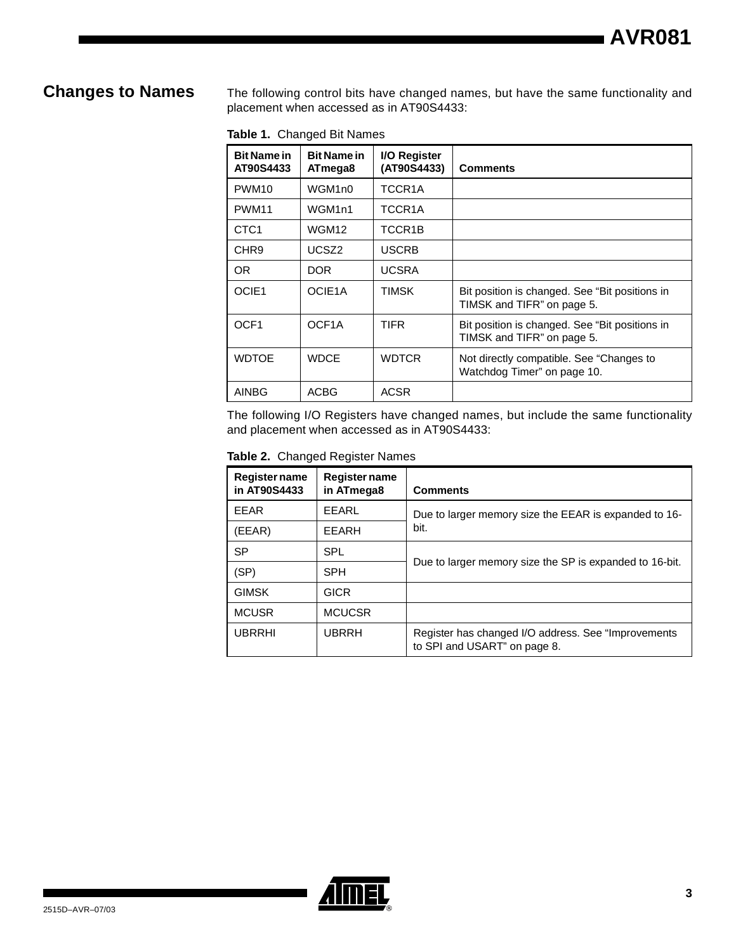**Changes to Names** The following control bits have changed names, but have the same functionality and placement when accessed as in AT90S4433:

|  |  |  | Table 1. Changed Bit Names |
|--|--|--|----------------------------|
|--|--|--|----------------------------|

| <b>Bit Name in</b><br>AT90S4433 | <b>Bit Name in</b><br>ATmega8 | I/O Register<br>(AT90S4433) | <b>Comments</b>                                                              |
|---------------------------------|-------------------------------|-----------------------------|------------------------------------------------------------------------------|
| PWM <sub>10</sub>               | WGM1n0                        | TCCR1A                      |                                                                              |
| PWM <sub>11</sub>               | WGM <sub>1n1</sub>            | TCCR1A                      |                                                                              |
| CTC <sub>1</sub>                | WGM12                         | TCCR1B                      |                                                                              |
| CHR <sub>9</sub>                | UCSZ <sub>2</sub>             | <b>USCRB</b>                |                                                                              |
| OR.                             | DOR.                          | <b>UCSRA</b>                |                                                                              |
| OCIE1                           | OCIE1A                        | <b>TIMSK</b>                | Bit position is changed. See "Bit positions in<br>TIMSK and TIFR" on page 5. |
| OCF <sub>1</sub>                | OCF <sub>1</sub> A            | <b>TIFR</b>                 | Bit position is changed. See "Bit positions in<br>TIMSK and TIFR" on page 5. |
| <b>WDTOE</b>                    | <b>WDCE</b>                   | <b>WDTCR</b>                | Not directly compatible. See "Changes to<br>Watchdog Timer" on page 10.      |
| <b>AINBG</b>                    | <b>ACBG</b>                   | <b>ACSR</b>                 |                                                                              |

The following I/O Registers have changed names, but include the same functionality and placement when accessed as in AT90S4433:

**Table 2.** Changed Register Names

| Register name<br>in AT90S4433 | <b>Register name</b><br>in ATmega8 | <b>Comments</b>                                                                      |
|-------------------------------|------------------------------------|--------------------------------------------------------------------------------------|
| <b>FFAR</b>                   | FFARL                              | Due to larger memory size the EEAR is expanded to 16-                                |
| (EEAR)                        | EEARH                              | bit.                                                                                 |
| SP                            | <b>SPL</b>                         |                                                                                      |
| (SP)                          | <b>SPH</b>                         | Due to larger memory size the SP is expanded to 16-bit.                              |
| <b>GIMSK</b>                  | <b>GICR</b>                        |                                                                                      |
| <b>MCUSR</b>                  | <b>MCUCSR</b>                      |                                                                                      |
| <b>UBRRHI</b>                 | <b>UBRRH</b>                       | Register has changed I/O address. See "Improvements"<br>to SPI and USART" on page 8. |

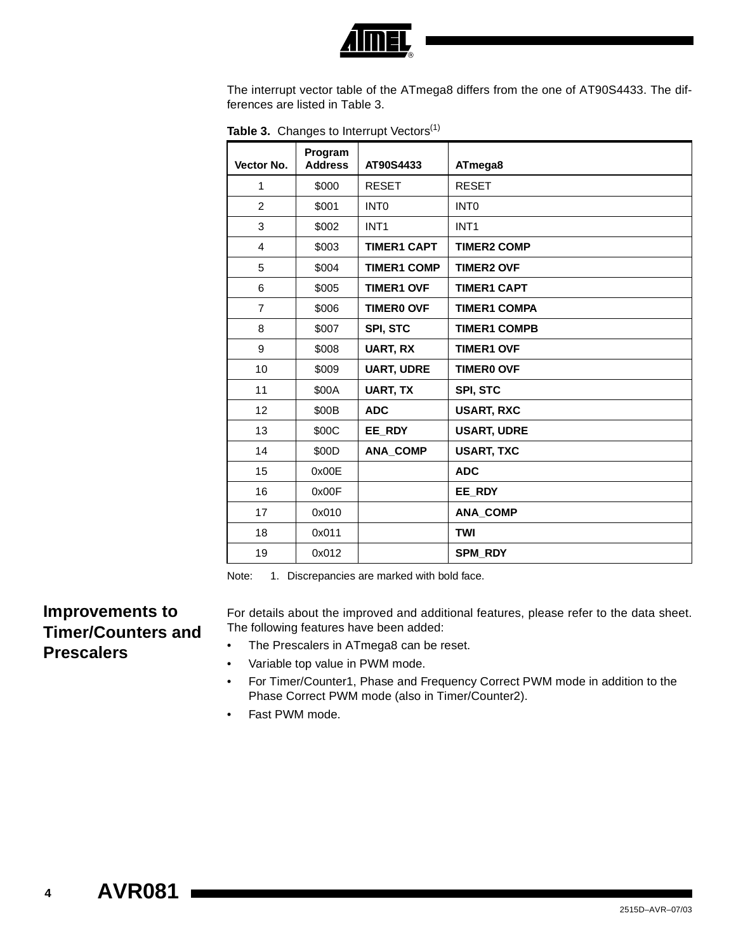

The interrupt vector table of the ATmega8 differs from the one of AT90S4433. The differences are listed in [Table 3](#page-3-1).

| Vector No.     | Program<br><b>Address</b> | AT90S4433          | ATmega8             |
|----------------|---------------------------|--------------------|---------------------|
| 1              | \$000                     | <b>RESET</b>       | <b>RESET</b>        |
| 2              | \$001                     | INT <sub>0</sub>   | <b>INTO</b>         |
| 3              | \$002                     | INT <sub>1</sub>   | INT <sub>1</sub>    |
| $\overline{4}$ | \$003                     | <b>TIMER1 CAPT</b> | <b>TIMER2 COMP</b>  |
| 5              | \$004                     | <b>TIMER1 COMP</b> | <b>TIMER2 OVF</b>   |
| 6              | \$005                     | <b>TIMER1 OVF</b>  | <b>TIMER1 CAPT</b>  |
| $\overline{7}$ | \$006                     | <b>TIMERO OVF</b>  | <b>TIMER1 COMPA</b> |
| 8              | \$007                     | SPI, STC           | <b>TIMER1 COMPB</b> |
| 9              | \$008                     | <b>UART, RX</b>    | <b>TIMER1 OVF</b>   |
| 10             | \$009                     | <b>UART, UDRE</b>  | <b>TIMERO OVF</b>   |
| 11             | \$00A                     | <b>UART, TX</b>    | <b>SPI, STC</b>     |
| 12             | \$00B                     | <b>ADC</b>         | <b>USART, RXC</b>   |
| 13             | \$00C                     | EE_RDY             | <b>USART, UDRE</b>  |
| 14             | \$00D                     | <b>ANA_COMP</b>    | <b>USART, TXC</b>   |
| 15             | 0x00E                     |                    | <b>ADC</b>          |
| 16             | 0x00F                     |                    | EE_RDY              |
| 17             | 0x010                     |                    | <b>ANA_COMP</b>     |
| 18             | 0x011                     |                    | <b>TWI</b>          |
| 19             | 0x012                     |                    | <b>SPM RDY</b>      |

<span id="page-3-1"></span>Table 3. Changes to Interrupt Vectors<sup>(1)</sup>

<span id="page-3-0"></span>Note: 1. Discrepancies are marked with bold face.

## **Improvements to Timer/Counters and Prescalers**

For details about the improved and additional features, please refer to the data sheet. The following features have been added:

- The Prescalers in ATmega8 can be reset.
- Variable top value in PWM mode.
- For Timer/Counter1, Phase and Frequency Correct PWM mode in addition to the Phase Correct PWM mode (also in Timer/Counter2).
- Fast PWM mode.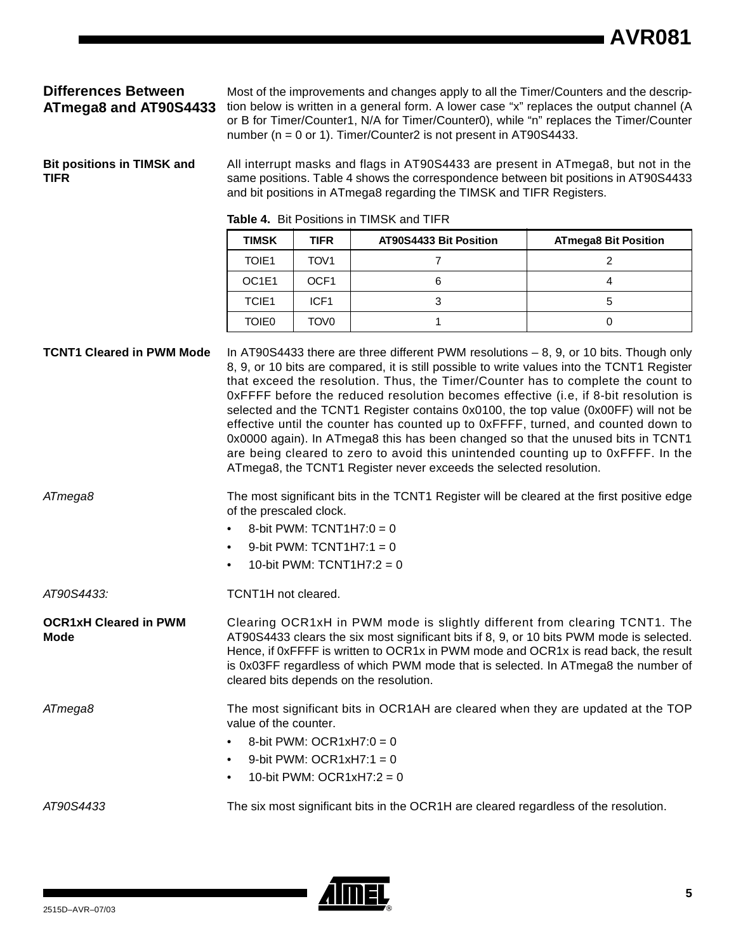### **Differences Between ATmega8 and AT90S4433**

Most of the improvements and changes apply to all the Timer/Counters and the description below is written in a general form. A lower case "x" replaces the output channel (A or B for Timer/Counter1, N/A for Timer/Counter0), while "n" replaces the Timer/Counter number (n = 0 or 1). Timer/Counter2 is not present in AT90S4433.

<span id="page-4-0"></span>**Bit positions in TIMSK and TIFR**

All interrupt masks and flags in AT90S4433 are present in ATmega8, but not in the same positions. Table 4 shows the correspondence between bit positions in AT90S4433 and bit positions in ATmega8 regarding the TIMSK and TIFR Registers.

| <b>TIMSK</b>                   | TIFR             | AT90S4433 Bit Position | <b>ATmega8 Bit Position</b> |
|--------------------------------|------------------|------------------------|-----------------------------|
| TOIE1                          | TOV <sub>1</sub> |                        |                             |
| OC <sub>1</sub> E <sub>1</sub> | OCF <sub>1</sub> |                        |                             |
| TCIE <sub>1</sub>              | ICF <sub>1</sub> |                        |                             |
| TOIE <sub>0</sub>              | TOV0             |                        |                             |

#### **Table 4.** Bit Positions in TIMSK and TIFR

**TCNT1 Cleared in PWM Mode** In AT90S4433 there are three different PWM resolutions – 8, 9, or 10 bits. Though only 8, 9, or 10 bits are compared, it is still possible to write values into the TCNT1 Register that exceed the resolution. Thus, the Timer/Counter has to complete the count to 0xFFFF before the reduced resolution becomes effective (i.e, if 8-bit resolution is selected and the TCNT1 Register contains 0x0100, the top value (0x00FF) will not be effective until the counter has counted up to 0xFFFF, turned, and counted down to 0x0000 again). In ATmega8 this has been changed so that the unused bits in TCNT1 are being cleared to zero to avoid this unintended counting up to 0xFFFF. In the ATmega8, the TCNT1 Register never exceeds the selected resolution. ATmega8 The most significant bits in the TCNT1 Register will be cleared at the first positive edge of the prescaled clock. 8-bit PWM:  $TCNT1H7:0 = 0$ 

- 9-bit PWM:  $TCNT1H7:1 = 0$
- 10-bit PWM:  $TCNT1H7:2 = 0$

AT90S4433: TCNT1H not cleared.

**OCR1xH Cleared in PWM Mode**

Clearing OCR1xH in PWM mode is slightly different from clearing TCNT1. The AT90S4433 clears the six most significant bits if 8, 9, or 10 bits PWM mode is selected. Hence, if 0xFFFF is written to OCR1x in PWM mode and OCR1x is read back, the result is 0x03FF regardless of which PWM mode that is selected. In ATmega8 the number of cleared bits depends on the resolution.

ATmega8 The most significant bits in OCR1AH are cleared when they are updated at the TOP value of the counter.

- 8-bit PWM: OCR1xH7:0 = 0
- 9-bit PWM: OCR1xH7:1 = 0
- 10-bit PWM:  $OCR1xH7:2 = 0$

AT90S4433 The six most significant bits in the OCR1H are cleared regardless of the resolution.

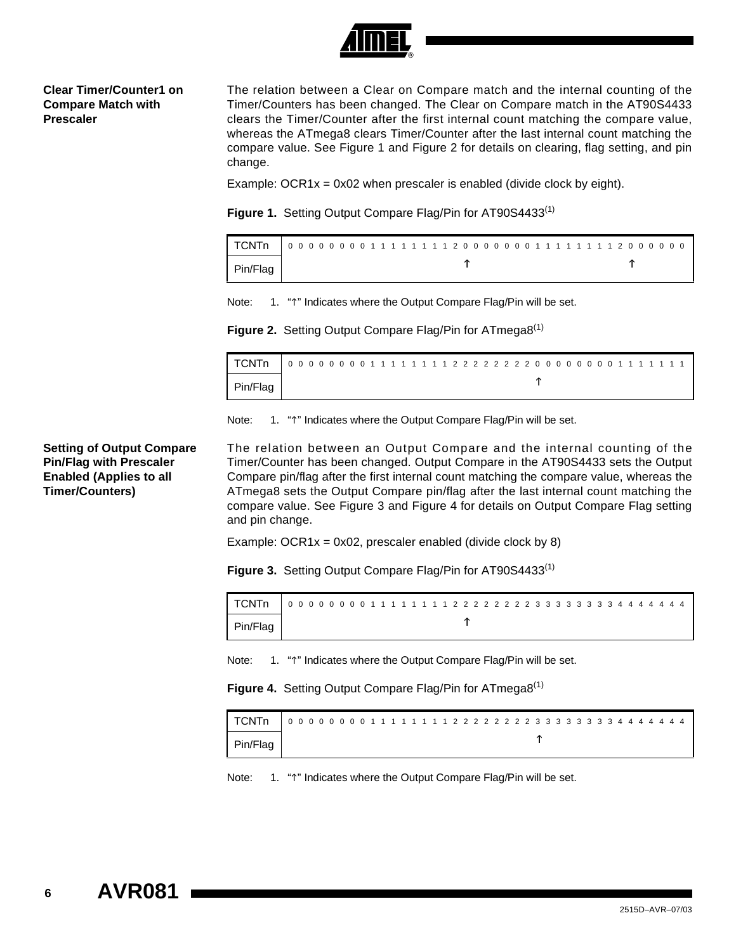

#### **Clear Timer/Counter1 on Compare Match with Prescaler**

The relation between a Clear on Compare match and the internal counting of the Timer/Counters has been changed. The Clear on Compare match in the AT90S4433 clears the Timer/Counter after the first internal count matching the compare value, whereas the ATmega8 clears Timer/Counter after the last internal count matching the compare value. See Figure 1 and Figure 2 for details on clearing, flag setting, and pin change.

Example: OCR1 $x = 0x02$  when prescaler is enabled (divide clock by eight).

Figure 1. Setting Output Compare Flag/Pin for AT90S4433<sup>(1)</sup>

| l TCNTn  | 000000001111111120000000111111112000000 |  |
|----------|-----------------------------------------|--|
| Pin/Flag |                                         |  |

Note: 1. "1" Indicates where the Output Compare Flag/Pin will be set.

**Figure 2.** Setting Output Compare Flag/Pin for ATmega8<sup>(1)</sup>

| ' TCNTn  | 0000000011111111222222200000001111111 |  |  |  |  |  |  |  |  |  |  |  |  |  |  |  |  |  |  |  |  |
|----------|---------------------------------------|--|--|--|--|--|--|--|--|--|--|--|--|--|--|--|--|--|--|--|--|
| Pin/Flag |                                       |  |  |  |  |  |  |  |  |  |  |  |  |  |  |  |  |  |  |  |  |

Note: 1. "1" Indicates where the Output Compare Flag/Pin will be set.

**Setting of Output Compare Pin/Flag with Prescaler Enabled (Applies to all Timer/Counters)**

The relation between an Output Compare and the internal counting of the Timer/Counter has been changed. Output Compare in the AT90S4433 sets the Output Compare pin/flag after the first internal count matching the compare value, whereas the ATmega8 sets the Output Compare pin/flag after the last internal count matching the compare value. See Figure 3 and Figure 4 for details on Output Compare Flag setting and pin change.

Example: OCR1 $x = 0x02$ , prescaler enabled (divide clock by 8)

**Figure 3.** Setting Output Compare Flag/Pin for AT90S4433<sup>(1)</sup>

| Pin/Flag |  |
|----------|--|

Note: 1. "1" Indicates where the Output Compare Flag/Pin will be set.

**Figure 4.** Setting Output Compare Flag/Pin for ATmega8<sup>(1)</sup>

| I TCNTn  | 000000001111111222222233333334444444 |
|----------|--------------------------------------|
| Pin/Flag |                                      |

Note: 1. "1" Indicates where the Output Compare Flag/Pin will be set.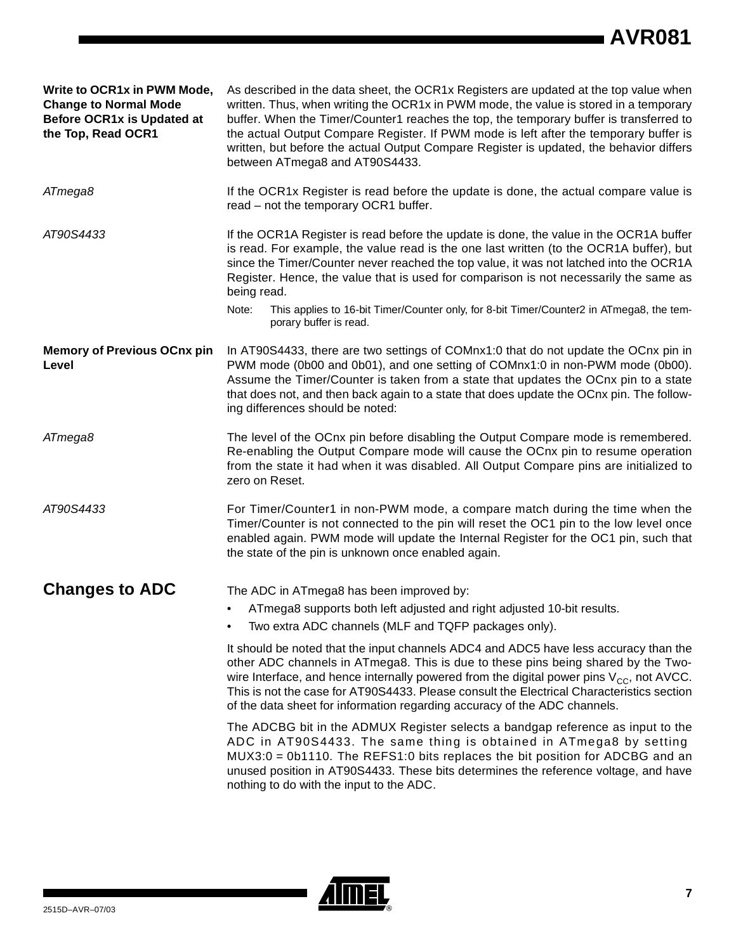# **AVR081**

| Write to OCR1x in PWM Mode,<br><b>Change to Normal Mode</b><br>Before OCR1x is Updated at<br>the Top, Read OCR1 | As described in the data sheet, the OCR1x Registers are updated at the top value when<br>written. Thus, when writing the OCR1x in PWM mode, the value is stored in a temporary<br>buffer. When the Timer/Counter1 reaches the top, the temporary buffer is transferred to<br>the actual Output Compare Register. If PWM mode is left after the temporary buffer is<br>written, but before the actual Output Compare Register is updated, the behavior differs<br>between ATmega8 and AT90S4433.                    |  |  |  |  |  |  |  |
|-----------------------------------------------------------------------------------------------------------------|--------------------------------------------------------------------------------------------------------------------------------------------------------------------------------------------------------------------------------------------------------------------------------------------------------------------------------------------------------------------------------------------------------------------------------------------------------------------------------------------------------------------|--|--|--|--|--|--|--|
| ATmega8                                                                                                         | If the OCR1x Register is read before the update is done, the actual compare value is<br>read - not the temporary OCR1 buffer.                                                                                                                                                                                                                                                                                                                                                                                      |  |  |  |  |  |  |  |
| AT90S4433                                                                                                       | If the OCR1A Register is read before the update is done, the value in the OCR1A buffer<br>is read. For example, the value read is the one last written (to the OCR1A buffer), but<br>since the Timer/Counter never reached the top value, it was not latched into the OCR1A<br>Register. Hence, the value that is used for comparison is not necessarily the same as<br>being read.<br>Note:<br>This applies to 16-bit Timer/Counter only, for 8-bit Timer/Counter2 in ATmega8, the tem-<br>porary buffer is read. |  |  |  |  |  |  |  |
| <b>Memory of Previous OCnx pin</b><br>Level                                                                     | In AT90S4433, there are two settings of COMnx1:0 that do not update the OCnx pin in<br>PWM mode (0b00 and 0b01), and one setting of COMnx1:0 in non-PWM mode (0b00).<br>Assume the Timer/Counter is taken from a state that updates the OCnx pin to a state<br>that does not, and then back again to a state that does update the OCnx pin. The follow-<br>ing differences should be noted:                                                                                                                        |  |  |  |  |  |  |  |
| ATmega8                                                                                                         | The level of the OCnx pin before disabling the Output Compare mode is remembered.<br>Re-enabling the Output Compare mode will cause the OCnx pin to resume operation<br>from the state it had when it was disabled. All Output Compare pins are initialized to<br>zero on Reset.                                                                                                                                                                                                                                   |  |  |  |  |  |  |  |
| AT90S4433                                                                                                       | For Timer/Counter1 in non-PWM mode, a compare match during the time when the<br>Timer/Counter is not connected to the pin will reset the OC1 pin to the low level once<br>enabled again. PWM mode will update the Internal Register for the OC1 pin, such that<br>the state of the pin is unknown once enabled again.                                                                                                                                                                                              |  |  |  |  |  |  |  |
| <b>Changes to ADC</b>                                                                                           | The ADC in ATmega8 has been improved by:                                                                                                                                                                                                                                                                                                                                                                                                                                                                           |  |  |  |  |  |  |  |
|                                                                                                                 | ATmega8 supports both left adjusted and right adjusted 10-bit results.                                                                                                                                                                                                                                                                                                                                                                                                                                             |  |  |  |  |  |  |  |
|                                                                                                                 | Two extra ADC channels (MLF and TQFP packages only).                                                                                                                                                                                                                                                                                                                                                                                                                                                               |  |  |  |  |  |  |  |
|                                                                                                                 | It should be noted that the input channels ADC4 and ADC5 have less accuracy than the<br>other ADC channels in ATmega8. This is due to these pins being shared by the Two-<br>wire Interface, and hence internally powered from the digital power pins $V_{CC}$ , not AVCC.<br>This is not the case for AT90S4433. Please consult the Electrical Characteristics section<br>of the data sheet for information regarding accuracy of the ADC channels.                                                               |  |  |  |  |  |  |  |
|                                                                                                                 | The ADCBG bit in the ADMUX Register selects a bandgap reference as input to the<br>ADC in AT90S4433. The same thing is obtained in ATmega8 by setting<br>$MUX3:0 = 0b1110$ . The REFS1:0 bits replaces the bit position for ADCBG and an<br>unused position in AT90S4433. These bits determines the reference voltage, and have<br>nothing to do with the input to the ADC.                                                                                                                                        |  |  |  |  |  |  |  |

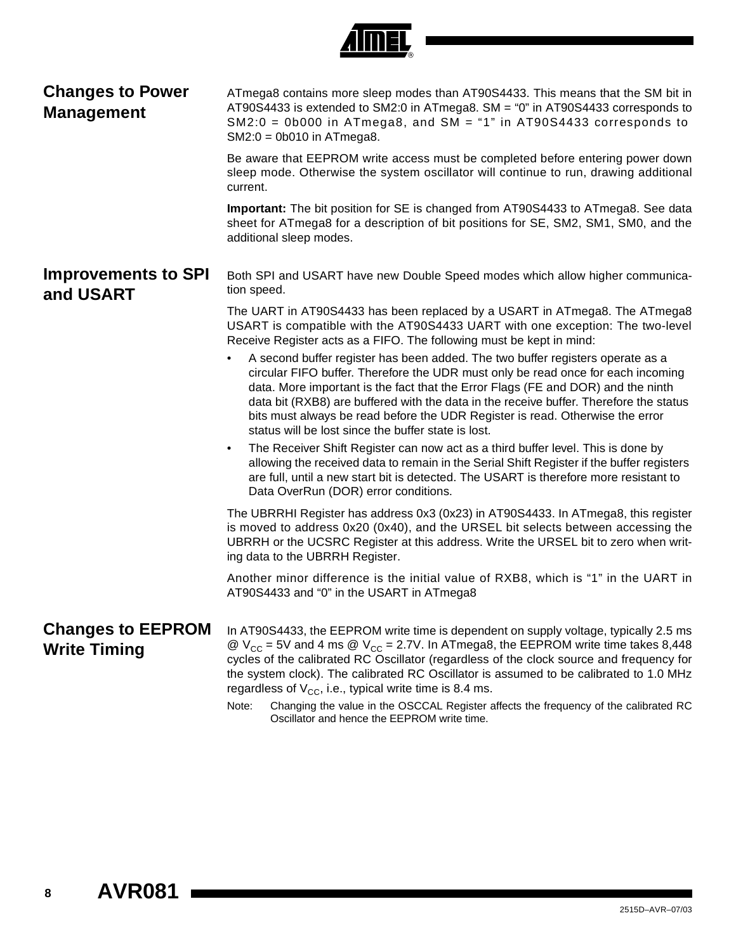<span id="page-7-0"></span>

| <b>Changes to Power</b><br><b>Management</b>    | ATmega8 contains more sleep modes than AT90S4433. This means that the SM bit in<br>AT90S4433 is extended to SM2:0 in ATmega8. SM = "0" in AT90S4433 corresponds to<br>$SM2:0 = 0b000$ in ATmega8, and SM = "1" in AT90S4433 corresponds to<br>$SM2:0 = 0b010$ in ATmega8.                                                                                                                                                                                                                                                                                                               |
|-------------------------------------------------|-----------------------------------------------------------------------------------------------------------------------------------------------------------------------------------------------------------------------------------------------------------------------------------------------------------------------------------------------------------------------------------------------------------------------------------------------------------------------------------------------------------------------------------------------------------------------------------------|
|                                                 | Be aware that EEPROM write access must be completed before entering power down<br>sleep mode. Otherwise the system oscillator will continue to run, drawing additional<br>current.                                                                                                                                                                                                                                                                                                                                                                                                      |
|                                                 | Important: The bit position for SE is changed from AT90S4433 to ATmega8. See data<br>sheet for ATmega8 for a description of bit positions for SE, SM2, SM1, SM0, and the<br>additional sleep modes.                                                                                                                                                                                                                                                                                                                                                                                     |
| <b>Improvements to SPI</b><br>and USART         | Both SPI and USART have new Double Speed modes which allow higher communica-<br>tion speed.                                                                                                                                                                                                                                                                                                                                                                                                                                                                                             |
|                                                 | The UART in AT90S4433 has been replaced by a USART in ATmega8. The ATmega8<br>USART is compatible with the AT90S4433 UART with one exception: The two-level<br>Receive Register acts as a FIFO. The following must be kept in mind:                                                                                                                                                                                                                                                                                                                                                     |
|                                                 | A second buffer register has been added. The two buffer registers operate as a<br>circular FIFO buffer. Therefore the UDR must only be read once for each incoming<br>data. More important is the fact that the Error Flags (FE and DOR) and the ninth<br>data bit (RXB8) are buffered with the data in the receive buffer. Therefore the status<br>bits must always be read before the UDR Register is read. Otherwise the error<br>status will be lost since the buffer state is lost.                                                                                                |
|                                                 | The Receiver Shift Register can now act as a third buffer level. This is done by<br>$\bullet$<br>allowing the received data to remain in the Serial Shift Register if the buffer registers<br>are full, until a new start bit is detected. The USART is therefore more resistant to<br>Data OverRun (DOR) error conditions.                                                                                                                                                                                                                                                             |
|                                                 | The UBRRHI Register has address 0x3 (0x23) in AT90S4433. In ATmega8, this register<br>is moved to address 0x20 (0x40), and the URSEL bit selects between accessing the<br>UBRRH or the UCSRC Register at this address. Write the URSEL bit to zero when writ-<br>ing data to the UBRRH Register.                                                                                                                                                                                                                                                                                        |
|                                                 | Another minor difference is the initial value of RXB8, which is "1" in the UART in<br>AT90S4433 and "0" in the USART in ATmega8                                                                                                                                                                                                                                                                                                                                                                                                                                                         |
| <b>Changes to EEPROM</b><br><b>Write Timing</b> | In AT90S4433, the EEPROM write time is dependent on supply voltage, typically 2.5 ms<br>@ $V_{CC}$ = 5V and 4 ms @ $V_{CC}$ = 2.7V. In ATmega8, the EEPROM write time takes 8,448<br>cycles of the calibrated RC Oscillator (regardless of the clock source and frequency for<br>the system clock). The calibrated RC Oscillator is assumed to be calibrated to 1.0 MHz<br>regardless of $V_{CC}$ , i.e., typical write time is 8.4 ms.<br>Changing the value in the OSCCAL Register affects the frequency of the calibrated RC<br>Note:<br>Oscillator and hence the EEPROM write time. |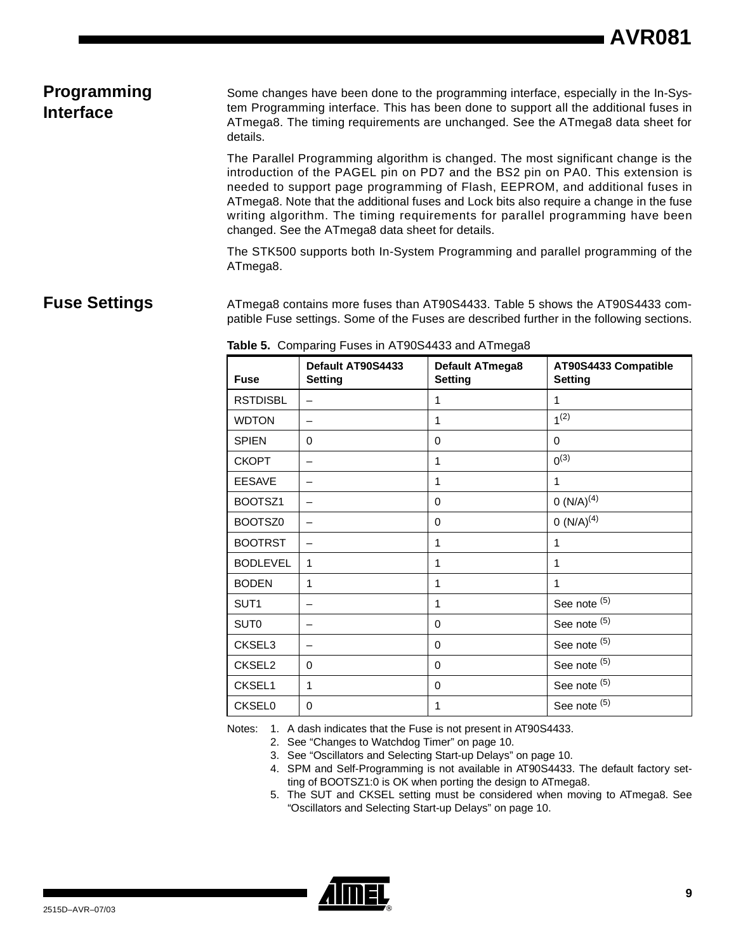# **Programming Interface**

Some changes have been done to the programming interface, especially in the In-System Programming interface. This has been done to support all the additional fuses in ATmega8. The timing requirements are unchanged. See the ATmega8 data sheet for details.

The Parallel Programming algorithm is changed. The most significant change is the introduction of the PAGEL pin on PD7 and the BS2 pin on PA0. This extension is needed to support page programming of Flash, EEPROM, and additional fuses in ATmega8. Note that the additional fuses and Lock bits also require a change in the fuse writing algorithm. The timing requirements for parallel programming have been changed. See the ATmega8 data sheet for details.

The STK500 supports both In-System Programming and parallel programming of the ATmega8.

### **Fuse Settings** ATmega8 contains more fuses than AT90S4433. Table 5 shows the AT90S4433 compatible Fuse settings. Some of the Fuses are described further in the following sections.

| <b>Fuse</b>      | Default AT90S4433<br><b>Setting</b> | <b>Default ATmega8</b><br><b>Setting</b> | AT90S4433 Compatible<br><b>Setting</b> |
|------------------|-------------------------------------|------------------------------------------|----------------------------------------|
| <b>RSTDISBL</b>  |                                     | 1                                        | 1                                      |
| <b>WDTON</b>     |                                     | 1                                        | 1 <sup>(2)</sup>                       |
| <b>SPIEN</b>     | 0                                   | $\Omega$                                 | 0                                      |
| <b>CKOPT</b>     | -                                   | 1                                        | $0^{(3)}$                              |
| <b>EESAVE</b>    |                                     | 1                                        | 1                                      |
| BOOTSZ1          |                                     | 0                                        | $O(N/A)^{(4)}$                         |
| BOOTSZ0          |                                     | $\Omega$                                 | 0 $(N/A)^{(4)}$                        |
| <b>BOOTRST</b>   |                                     | 1                                        | 1                                      |
| <b>BODLEVEL</b>  | 1                                   | 1                                        | 1                                      |
| <b>BODEN</b>     | 1                                   | 1                                        | 1                                      |
| SUT1             |                                     | 1                                        | See note (5)                           |
| SUT <sub>0</sub> |                                     | 0                                        | See note (5)                           |
| CKSEL3           |                                     | $\Omega$                                 | See note (5)                           |
| CKSEL2           | $\Omega$                            | $\Omega$                                 | See note (5)                           |
| CKSEL1           | 1                                   | 0                                        | See note (5)                           |
| <b>CKSEL0</b>    | $\Omega$                            | 1                                        | See note (5)                           |

**Table 5.** Comparing Fuses in AT90S4433 and ATmega8

Notes: 1. A dash indicates that the Fuse is not present in AT90S4433.

2. [See "Changes to Watchdog Timer" on page 10.](#page-9-0)

3. [See "Oscillators and Selecting Start-up Delays" on page 10.](#page-9-1)

- 4. SPM and Self-Programming is not available in AT90S4433. The default factory setting of BOOTSZ1:0 is OK when porting the design to ATmega8.
- 5. The SUT and CKSEL setting must be considered when moving to ATmega8. [See](#page-9-1) ["Oscillators and Selecting Start-up Delays" on page 10.](#page-9-1)

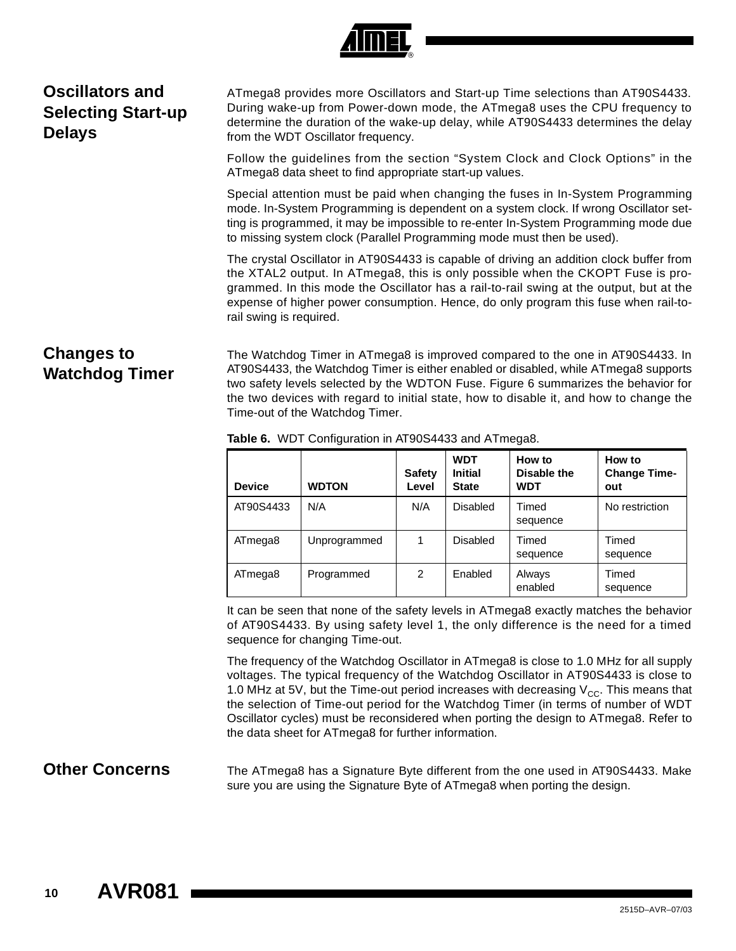

# <span id="page-9-1"></span>**Oscillators and Selecting Start-up Delays**

ATmega8 provides more Oscillators and Start-up Time selections than AT90S4433. During wake-up from Power-down mode, the ATmega8 uses the CPU frequency to determine the duration of the wake-up delay, while AT90S4433 determines the delay from the WDT Oscillator frequency.

Follow the guidelines from the section "System Clock and Clock Options" in the ATmega8 data sheet to find appropriate start-up values.

Special attention must be paid when changing the fuses in In-System Programming mode. In-System Programming is dependent on a system clock. If wrong Oscillator setting is programmed, it may be impossible to re-enter In-System Programming mode due to missing system clock (Parallel Programming mode must then be used).

The crystal Oscillator in AT90S4433 is capable of driving an addition clock buffer from the XTAL2 output. In ATmega8, this is only possible when the CKOPT Fuse is programmed. In this mode the Oscillator has a rail-to-rail swing at the output, but at the expense of higher power consumption. Hence, do only program this fuse when rail-torail swing is required.

## <span id="page-9-0"></span>**Changes to Watchdog Timer**

The Watchdog Timer in ATmega8 is improved compared to the one in AT90S4433. In AT90S4433, the Watchdog Timer is either enabled or disabled, while ATmega8 supports two safety levels selected by the WDTON Fuse. Figure 6 summarizes the behavior for the two devices with regard to initial state, how to disable it, and how to change the Time-out of the Watchdog Timer.

| <b>Device</b> | <b>WDTON</b> | <b>Safety</b><br>Level | <b>WDT</b><br><b>Initial</b><br><b>State</b> | How to<br>Disable the<br><b>WDT</b> | How to<br><b>Change Time-</b><br>out |
|---------------|--------------|------------------------|----------------------------------------------|-------------------------------------|--------------------------------------|
| AT90S4433     | N/A          | N/A                    | Disabled                                     | Timed<br>sequence                   | No restriction                       |
| ATmega8       | Unprogrammed |                        | <b>Disabled</b>                              | Timed<br>sequence                   | Timed<br>sequence                    |
| ATmega8       | Programmed   | 2                      | Enabled                                      | Always<br>enabled                   | Timed<br>sequence                    |

**Table 6.** WDT Configuration in AT90S4433 and ATmega8.

It can be seen that none of the safety levels in ATmega8 exactly matches the behavior of AT90S4433. By using safety level 1, the only difference is the need for a timed sequence for changing Time-out.

The frequency of the Watchdog Oscillator in ATmega8 is close to 1.0 MHz for all supply voltages. The typical frequency of the Watchdog Oscillator in AT90S4433 is close to 1.0 MHz at 5V, but the Time-out period increases with decreasing  $V_{CC}$ . This means that the selection of Time-out period for the Watchdog Timer (in terms of number of WDT Oscillator cycles) must be reconsidered when porting the design to ATmega8. Refer to the data sheet for ATmega8 for further information.

**Other Concerns** The ATmega8 has a Signature Byte different from the one used in AT90S4433. Make sure you are using the Signature Byte of ATmega8 when porting the design.